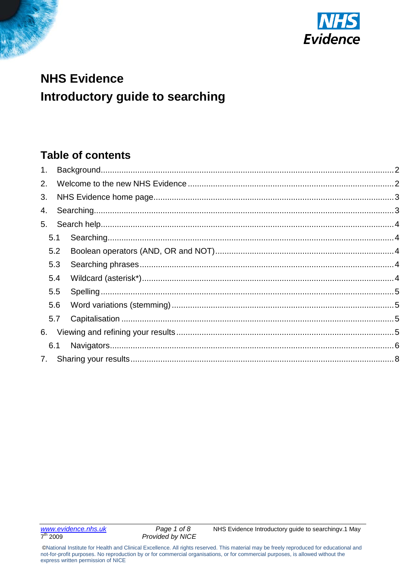



# **NHS Evidence** Introductory guide to searching

## **Table of contents**

<span id="page-0-0"></span>

| 2. |     |  |
|----|-----|--|
| 3. |     |  |
|    |     |  |
| 5. |     |  |
|    | 5.1 |  |
|    | 5.2 |  |
|    | 5.3 |  |
|    | 5.4 |  |
|    | 5.5 |  |
|    | 5.6 |  |
|    | 5.7 |  |
|    |     |  |
|    | 6.1 |  |
|    |     |  |
|    |     |  |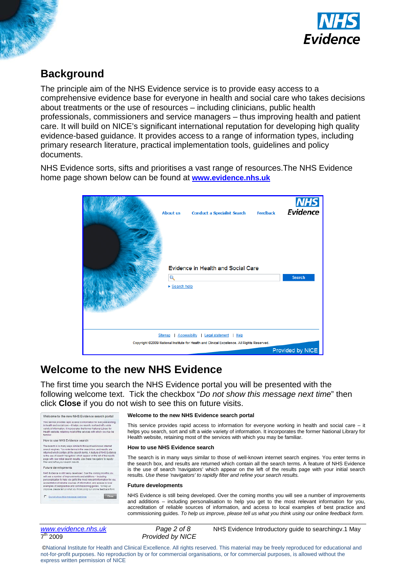

### **Background**

The principle aim of the NHS Evidence service is to provide easy access to a comprehensive evidence base for everyone in health and social care who takes decisions about treatments or the use of resources – including clinicians, public health professionals, commissioners and service managers – thus improving health and patient care. It will build on NICE's significant international reputation for developing high quality evidence-based guidance. It provides access to a range of information types, including primary research literature, practical implementation tools, guidelines and policy documents.

NHS Evidence sorts, sifts and prioritises a vast range of resources.The NHS Evidence home page shown below can be found at **[www.evidence.nhs.uk](http://www.evidence.nhs.uk/)**

| <b>About us</b> | <b>Conduct a Specialist Search</b><br>Evidence in Health and Social Care                    | <b>Feedback</b> | <b>NHS</b><br>Evidence |
|-----------------|---------------------------------------------------------------------------------------------|-----------------|------------------------|
| Q               |                                                                                             |                 | Search                 |
| ▶ Search help   |                                                                                             |                 |                        |
|                 |                                                                                             |                 |                        |
|                 |                                                                                             |                 |                        |
|                 |                                                                                             |                 |                        |
| Sitemap         | <b>Accessibility</b> Legal statement<br><b>Help</b>                                         |                 |                        |
|                 | Copyright @2009 National Institute for Health and Clinical Excellence. All Rights Reserved. |                 |                        |
|                 |                                                                                             |                 | Provided by NICE       |

### <span id="page-1-0"></span>**Welcome to the new NHS Evidence**

The first time you search the NHS Evidence portal you will be presented with the following welcome text. Tick the checkbox "*Do not show this message next time*" then click **Close** if you do not wish to see this on future visits.

### Welcome to the new NHS Evidence search portal This senice provides rapid access to information for everyone work<br>in health and social care -- If helps you search, sort and sift a wide<br>variety of information. It incorporates the former National Library for<br>Neisty of He How to use NHS Evidence search

The search is in many ways similar to those of well-known internet.<br>The search is in many ways similar to those of well-known internet.<br>Search engines. You enter terms in the search box, and results are<br>related with condit Future developments

 $1048 \text{ Eulerca} \text{ in } 10 \text{ eV} \text{ in } 10 \text{ eV} \text{ in } 10 \text{ eV} \text{ in } 10 \text{ eV} \text{ in } 10 \text{ eV} \text{ in } 10 \text{ eV} \text{ in } 10 \text{ eV} \text{ in } 10 \text{ eV} \text{ in } 10 \text{ eV} \text{ in } 10 \text{ eV} \text{ in } 10 \text{ eV} \text{ in } 10 \text{ eV} \text{ in } 10 \text{ eV} \text{ in } 10 \text{ eV} \text{ in } 10 \text{ eV$ Close P Do not show this message next a

#### **Welcome to the new NHS Evidence search portal**

This service provides rapid access to information for everyone working in health and social care – it helps you search, sort and sift a wide variety of information. It incorporates the former National Library for Health website, retaining most of the services with which you may be familiar.

#### **How to use NHS Evidence search**

The search is in many ways similar to those of well-known internet search engines. You enter terms in the search box, and results are returned which contain all the search terms. A feature of NHS Evidence is the use of search 'navigators' which appear on the left of the results page with your initial search results. *Use these 'navigators' to rapidly filter and refine your search results.*

#### **Future developments**

NHS Evidence is still being developed. Over the coming months you will see a number of improvements and additions – including personalisation to help you get to the most relevant information for you, accreditation of reliable sources of information, and access to local examples of best practice and commissioning guides. *To help us improve, please tell us what you think using our online feedback form.*

**Provided by NICE** 

*[www.evidence.nhs.uk](http://www.evidence.nhs.uk/) Page 2 of 8* NHS Evidence Introductory guide to searchingv.1 May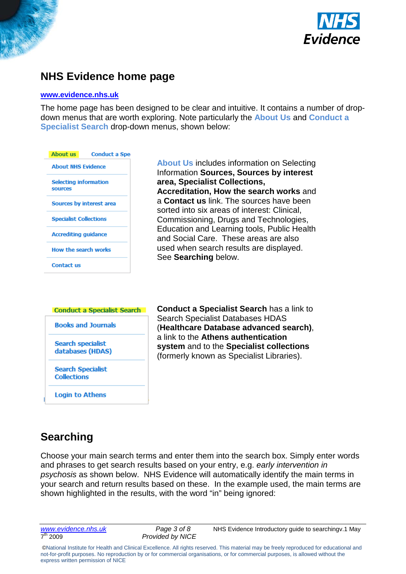



### <span id="page-2-0"></span>**NHS Evidence home page**

#### **[www.evidence.nhs.uk](http://www.evidence.nhs.uk/)**

The home page has been designed to be clear and intuitive. It contains a number of dropdown menus that are worth exploring. Note particularly the **About Us** and **Conduct a Specialist Search** drop-down menus, shown below:



**About Us** includes information on Selecting Information **Sources, Sources by interest area, Specialist Collections, Accreditation, How the search works** and a **Contact us** link. The sources have been sorted into six areas of interest: Clinical, Commissioning, Drugs and Technologies, Education and Learning tools, Public Health and Social Care. These areas are also used when search results are displayed. See **Searching** below.

## **Conduct a Specialist Search Books and Journals**

**Search specialist** databases (HDAS)

**Search Specialist Collections** 

**Login to Athens** 

**Conduct a Specialist Search** has a link to Search Specialist Databases HDAS (**Healthcare Database advanced search)**, a link to the **Athens authentication system** and to the **Specialist collections** (formerly known as Specialist Libraries).

## <span id="page-2-1"></span>**Searching**

Choose your main search terms and enter them into the search box. Simply enter words and phrases to get search results based on your entry, e.g. *early intervention in psychosis* as shown below. NHS Evidence will automatically identify the main terms in your search and return results based on these. In the example used, the main terms are shown highlighted in the results, with the word "in" being ignored:

**Provided by NICE** 

*[www.evidence.nhs.uk](http://www.evidence.nhs.uk/) Page 3 of 8* NHS Evidence Introductory guide to searchingv.1 May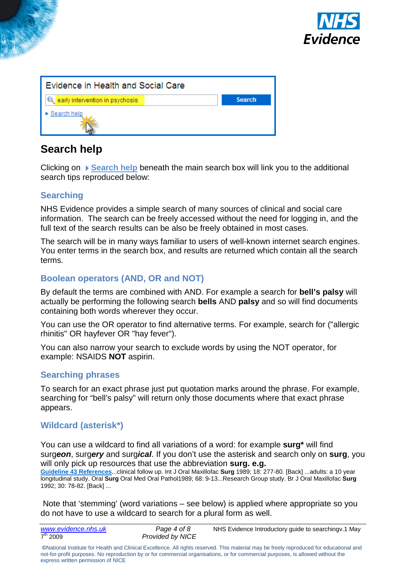

| Evidence in Health and Social Care |               |  |  |  |
|------------------------------------|---------------|--|--|--|
| e early intervention in psychosis  | <b>Search</b> |  |  |  |
| $\triangleright$ Search help       |               |  |  |  |

### <span id="page-3-0"></span>**Search help**

Clicking on **Search help** beneath the main search box will link you to the additional search tips reproduced below:

### <span id="page-3-1"></span>**Searching**

NHS Evidence provides a simple search of many sources of clinical and social care information. The search can be freely accessed without the need for logging in, and the full text of the search results can be also be freely obtained in most cases.

The search will be in many ways familiar to users of well-known internet search engines. You enter terms in the search box, and results are returned which contain all the search terms.

### <span id="page-3-2"></span>**Boolean operators (AND, OR and NOT)**

By default the terms are combined with AND. For example a search for **bell's palsy** will actually be performing the following search **bells** AND **palsy** and so will find documents containing both words wherever they occur.

You can use the OR operator to find alternative terms. For example, search for ("allergic rhinitis" OR hayfever OR "hay fever").

You can also narrow your search to exclude words by using the NOT operator, for example: NSAIDS **NOT** aspirin.

#### <span id="page-3-3"></span>**Searching phrases**

To search for an exact phrase just put quotation marks around the phrase. For example, searching for "bell's palsy" will return only those documents where that exact phrase appears.

### <span id="page-3-4"></span>**Wildcard (asterisk\*)**

You can use a wildcard to find all variations of a word: for example **surg\*** will find surg*eon*, surg*ery* and surg*ical*. If you don't use the asterisk and search only on **surg**, you will only pick up resources that use the abbreviation **surg. e.g.** 

**[Guideline 43 References](http://www.sign.ac.uk/guidelines/fulltext/43/references.html)**...clinical follow up. Int J Oral Maxillofac **Surg** 1989; 18: 277-80. [Back] ...adults: a 10 year longitudinal study. Oral **Surg** Oral Med Oral Pathol1989; 68: 9-13...Research Group study. Br J Oral Maxillofac **Surg** 1992; 30: 78-82. [Back] ...

Note that 'stemming' (word variations – see below) is applied where appropriate so you do not have to use a wildcard to search for a plural form as well.

| www.evidence.nhs.uk | Page 4 of 8             | NHS Evidence Introductory guide to searchingv.1 May |
|---------------------|-------------------------|-----------------------------------------------------|
| $7^{th}$ 2009       | <b>Provided by NICE</b> |                                                     |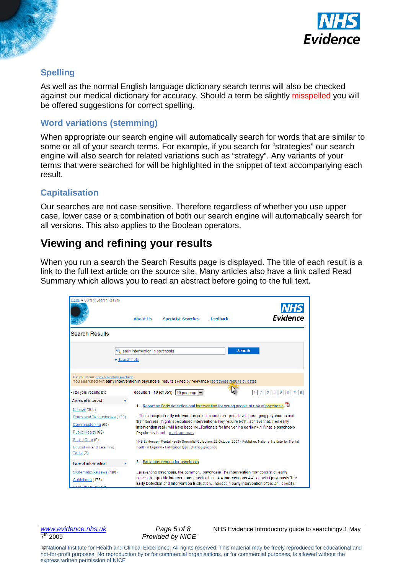

### <span id="page-4-0"></span>**Spelling**

As well as the normal English language dictionary search terms will also be checked against our medical dictionary for accuracy. Should a term be slightly misspelled you will be offered suggestions for correct spelling.

#### <span id="page-4-1"></span>**Word variations (stemming)**

When appropriate our search engine will automatically search for words that are similar to some or all of your search terms. For example, if you search for "strategies" our search engine will also search for related variations such as "strategy". Any variants of your terms that were searched for will be highlighted in the snippet of text accompanying each result.

### <span id="page-4-2"></span>**Capitalisation**

Our searches are not case sensitive. Therefore regardless of whether you use upper case, lower case or a combination of both our search engine will automatically search for all versions. This also applies to the Boolean operators.

### <span id="page-4-3"></span>**Viewing and refining your results**

When you run a search the Search Results page is displayed. The title of each result is a link to the full text article on the source site. Many articles also have a link called Read Summary which allows you to read an abstract before going to the full text.



**Provided by NICE** 

*[www.evidence.nhs.uk](http://www.evidence.nhs.uk/) Page 5 of 8* NHS Evidence Introductory guide to searchingv.1 May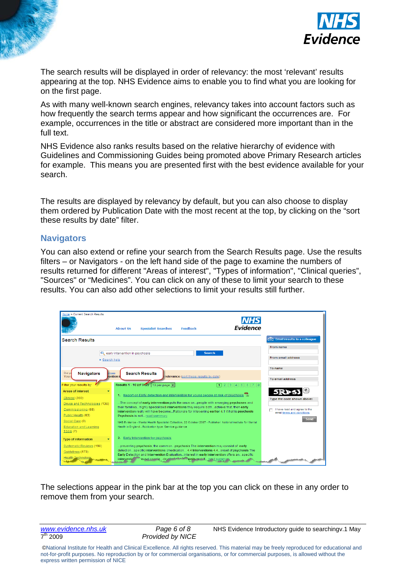



The search results will be displayed in order of relevancy: the most 'relevant' results appearing at the top. NHS Evidence aims to enable you to find what you are looking for on the first page.

As with many well-known search engines, relevancy takes into account factors such as how frequently the search terms appear and how significant the occurrences are. For example, occurrences in the title or abstract are considered more important than in the full text.

NHS Evidence also ranks results based on the relative hierarchy of evidence with Guidelines and Commissioning Guides being promoted above Primary Research articles for example. This means you are presented first with the best evidence available for your search.

The results are displayed by relevancy by default, but you can also choose to display them ordered by Publication Date with the most recent at the top, by clicking on the "sort these results by date" filter.

#### <span id="page-5-0"></span>**Navigators**

You can also extend or refine your search from the Search Results page. Use the results filters – or Navigators - on the left hand side of the page to examine the numbers of results returned for different "Areas of interest", "Types of information", "Clinical queries", "Sources" or "Medicines". You can click on any of these to limit your search to these results. You can also add other selections to limit your results still further.

| Home » Current Search Results                      | <b>NHS</b><br><b>Evidence</b><br><b>Feedback</b><br><b>About Us</b><br><b>Specialist Searches</b>                                                                                      |                              |
|----------------------------------------------------|----------------------------------------------------------------------------------------------------------------------------------------------------------------------------------------|------------------------------|
| <b>Search Results</b>                              |                                                                                                                                                                                        | Email results to a colleague |
|                                                    |                                                                                                                                                                                        | From name                    |
| $\triangleright$ Search help                       | early intervention in psychosis<br><b>Search</b>                                                                                                                                       | From email address           |
| <b>Navigators</b><br>Did yo<br>chosis              | <b>Search Results</b>                                                                                                                                                                  | To name                      |
| You                                                | vention i<br>relevance (sort these results by date)                                                                                                                                    | To email address             |
| Filter vour results by:                            | Results 1 - 10 (of 947) 10 per page v<br>1231456778                                                                                                                                    |                              |
| <b>Areas of interest</b>                           | 1. Report on Early detection and intervention for young people at risk of psychosis                                                                                                    | 5RP                          |
| Clinical (360)                                     |                                                                                                                                                                                        | Type the code shown above:   |
| Drugs and Technologies (136)<br>Commissioning (69) | The concept of early intervention puts the onus onpeople with emerging psychoses and<br>their familieshighly specialised interventions they require bothachieve that, then early       | I have read and agree to the |
| Public Health (63)                                 | intervention really will have becomeRationale for intervening earlier 4.1 What is psychosis<br>Psychosis is not read summary                                                           | email terms and conditions   |
| Social Care (9)                                    | NHS Evidence - Mental Health Specialist Collection, 22 October 2007 - Publisher: National Institute for Mental                                                                         | Send                         |
| <b>Education and Learning</b>                      | Health in England - Publication type: Service guidance                                                                                                                                 |                              |
| Tools $(7)$                                        |                                                                                                                                                                                        |                              |
| <b>Type of information</b>                         | 2. Early Intervention for psychosis                                                                                                                                                    |                              |
| Systematic Reviews (190)                           | "preventing psychosis, the commonpsychosis The intervention may consist of: early                                                                                                      |                              |
| Guidelines (173)                                   | detectionspecific interventions (medication 4.4 Interventions 4.4onset of psychosis The<br>Early Detection and Intervention Evaluationinterest in early intervention offers anspecific |                              |
| <b>Health Technology</b>                           | Yevent needledevelow and minoris and if read summar<br>interventi <sup>2</sup>                                                                                                         |                              |

The selections appear in the pink bar at the top you can click on these in any order to remove them from your search.

**Provided by NICE** 

*[www.evidence.nhs.uk](http://www.evidence.nhs.uk/) Page 6 of 8* NHS Evidence Introductory guide to searchingv.1 May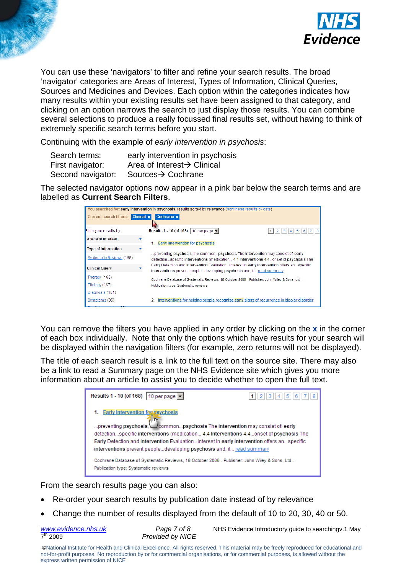



You can use these 'navigators' to filter and refine your search results. The broad 'navigator' categories are Areas of Interest, Types of Information, Clinical Queries, Sources and Medicines and Devices. Each option within the categories indicates how many results within your existing results set have been assigned to that category, and clicking on an option narrows the search to just display those results. You can combine several selections to produce a really focussed final results set, without having to think of extremely specific search terms before you start.

Continuing with the example of *early intervention in psychosis*:

| Search terms:     | early intervention in psychosis         |
|-------------------|-----------------------------------------|
| First navigator:  | Area of Interest $\rightarrow$ Clinical |
| Second navigator: | Sources→ Cochrane                       |

The selected navigator options now appear in a pink bar below the search terms and are labelled as **Current Search Filters**.

| You searched for: early intervention in psychosis, results sorted by relevance (sort these results by date) |                   |                                                                                                                                                                             |                 |  |  |
|-------------------------------------------------------------------------------------------------------------|-------------------|-----------------------------------------------------------------------------------------------------------------------------------------------------------------------------|-----------------|--|--|
| <b>Current search filters:</b>                                                                              | <b>Clinical x</b> | Cochrane x                                                                                                                                                                  |                 |  |  |
| Filter your results by:                                                                                     |                   | Results 1 - 10 (of 168)   10 per page $\blacktriangleright$                                                                                                                 | 1 2 3 4 5 6 7 8 |  |  |
| <b>Areas of interest</b>                                                                                    |                   | <b>Early Intervention for psychosis</b><br>1.                                                                                                                               |                 |  |  |
| Type of information                                                                                         |                   |                                                                                                                                                                             |                 |  |  |
| Systematic Reviews (168)                                                                                    |                   | preventing psychosis, the commonpsychosis The intervention may consist of: early<br>detectionspecific interventions (medication 4.4 Interventions 4.4onset of psychosis The |                 |  |  |
| <b>Clinical Query</b>                                                                                       |                   | Early Detection and Intervention Evaluationinterest in early intervention offers anspecific<br>interventions prevent peopledeveloping psychosis and, if read summary        |                 |  |  |
| Therapy (168)                                                                                               |                   | - Cochrane Database of Systematic Reviews, 18 October 2006 - Publisher: John Wiley & Sons, Ltd                                                                              |                 |  |  |
| Etiology (167)                                                                                              |                   | Publication type: Systematic reviews                                                                                                                                        |                 |  |  |
| Diagnosis (161)                                                                                             |                   |                                                                                                                                                                             |                 |  |  |
| Symptoms (85)                                                                                               |                   | Interventions for helping people recognise early signs of recurrence in bipolar disorder                                                                                    |                 |  |  |
|                                                                                                             |                   |                                                                                                                                                                             |                 |  |  |

You can remove the filters you have applied in any order by clicking on the **x** in the corner of each box individually. Note that only the options which have results for your search will be displayed within the navigation filters (for example, zero returns will not be displayed).

The title of each search result is a link to the full text on the source site. There may also be a link to read a Summary page on the NHS Evidence site which gives you more information about an article to assist you to decide whether to open the full text.

| Results 1 - 10 (of 168)   10 per page                                                                                                                                                                                                                                                                                                                                              | -5<br>6<br>з<br>$-4$ |
|------------------------------------------------------------------------------------------------------------------------------------------------------------------------------------------------------------------------------------------------------------------------------------------------------------------------------------------------------------------------------------|----------------------|
| Early Intervention for psychosis<br>preventing psychosis, commonpsychosis The intervention may consist of early<br>detectionspecific interventions (medication 4.4 Interventions 4.4onset of psychosis The<br>Early Detection and Intervention Evaluationinterest in early intervention offers anspecific<br>interventions prevent peopledeveloping psychosis and, if read summary |                      |
| - Cochrane Database of Systematic Reviews, 18 October 2006 - Publisher: John Wiley & Sons, Ltd<br>Publication type: Systematic reviews                                                                                                                                                                                                                                             |                      |

From the search results page you can also:

- Re-order your search results by publication date instead of by relevance
- Change the number of results displayed from the default of 10 to 20, 30, 40 or 50.

| www.evidence.nhs.uk | Page 7 of 8             | NHS Evidence Introductory guide to searchingv.1 May |
|---------------------|-------------------------|-----------------------------------------------------|
| $7^{th}$ 2009       | <b>Provided by NICE</b> |                                                     |